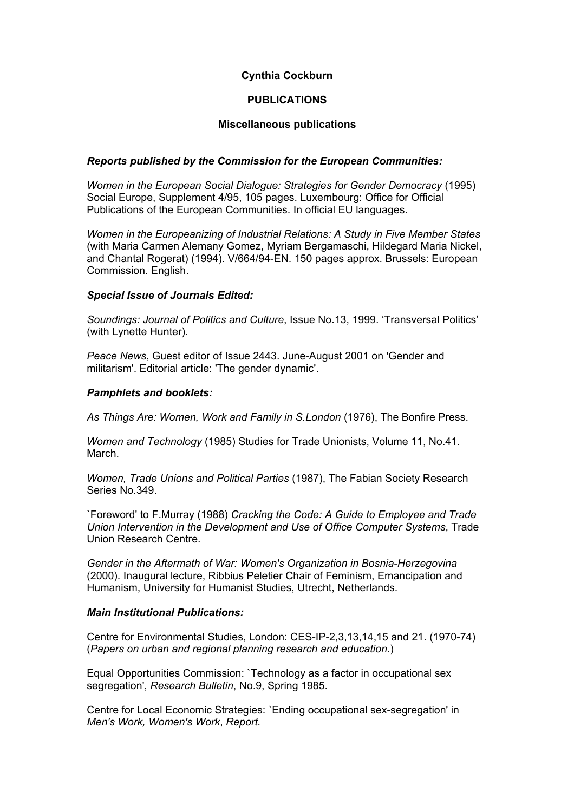# **Cynthia Cockburn**

# **PUBLICATIONS**

#### **Miscellaneous publications**

# *Reports published by the Commission for the European Communities:*

*Women in the European Social Dialogue: Strategies for Gender Democracy* (1995) Social Europe. Supplement 4/95, 105 pages. Luxembourg: Office for Official Publications of the European Communities. In official EU languages.

*Women in the Europeanizing of Industrial Relations: A Study in Five Member States*  (with Maria Carmen Alemany Gomez, Myriam Bergamaschi, Hildegard Maria Nickel, and Chantal Rogerat) (1994). V/664/94-EN. 150 pages approx. Brussels: European Commission. English.

# *Special Issue of Journals Edited:*

*Soundings: Journal of Politics and Culture*, Issue No.13, 1999. 'Transversal Politics' (with Lynette Hunter).

*Peace News*, Guest editor of Issue 2443. June-August 2001 on 'Gender and militarism'. Editorial article: 'The gender dynamic'.

# *Pamphlets and booklets:*

*As Things Are: Women, Work and Family in S.London* (1976), The Bonfire Press.

*Women and Technology* (1985) Studies for Trade Unionists, Volume 11, No.41. March.

*Women, Trade Unions and Political Parties* (1987), The Fabian Society Research Series No.349.

`Foreword' to F.Murray (1988) *Cracking the Code: A Guide to Employee and Trade Union Intervention in the Development and Use of Office Computer Systems*, Trade Union Research Centre.

*Gender in the Aftermath of War: Women's Organization in Bosnia-Herzegovina* (2000). Inaugural lecture, Ribbius Peletier Chair of Feminism, Emancipation and Humanism, University for Humanist Studies, Utrecht, Netherlands.

#### *Main Institutional Publications:*

Centre for Environmental Studies, London: CES-IP-2,3,13,14,15 and 21. (1970-74) (*Papers on urban and regional planning research and education*.)

Equal Opportunities Commission: `Technology as a factor in occupational sex segregation', *Research Bulletin*, No.9, Spring 1985.

Centre for Local Economic Strategies: `Ending occupational sex-segregation' in *Men's Work, Women's Work*, *Report.*